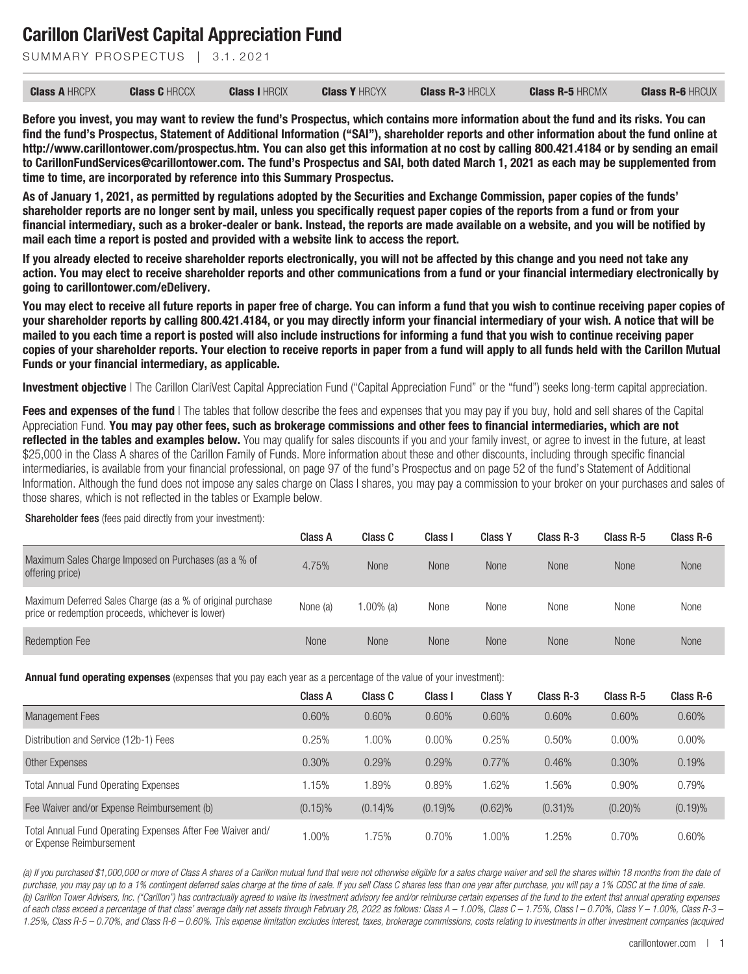SUMMARY PROSPECTUS | 3.1.2021

| <b>Class A HRCPX</b> | <b>Class C HRCCX</b> | <b>Class I HRCIX</b> | <b>Class Y HRCYX</b> | <b>Class R-3 HRCLX</b> | <b>Class R-5 HRCMX</b> | <b>Class R-6 HRCUX</b> |
|----------------------|----------------------|----------------------|----------------------|------------------------|------------------------|------------------------|
|----------------------|----------------------|----------------------|----------------------|------------------------|------------------------|------------------------|

**Before you invest, you may want to review the fund's Prospectus, which contains more information about the fund and its risks. You can find the fund's Prospectus, Statement of Additional Information ("SAI"), shareholder reports and other information about the fund online at http://www.carillontower.com/prospectus.htm. You can also get this information at no cost by calling 800.421.4184 or by sending an email to CarillonFundServices@carillontower.com. The fund's Prospectus and SAI, both dated March 1, 2021 as each may be supplemented from time to time, are incorporated by reference into this Summary Prospectus.**

**As of January 1, 2021, as permitted by regulations adopted by the Securities and Exchange Commission, paper copies of the funds' shareholder reports are no longer sent by mail, unless you specifically request paper copies of the reports from a fund or from your financial intermediary, such as a broker-dealer or bank. Instead, the reports are made available on a website, and you will be notified by mail each time a report is posted and provided with a website link to access the report.**

**If you already elected to receive shareholder reports electronically, you will not be affected by this change and you need not take any action. You may elect to receive shareholder reports and other communications from a fund or your financial intermediary electronically by going to carillontower.com/eDelivery.**

**You may elect to receive all future reports in paper free of charge. You can inform a fund that you wish to continue receiving paper copies of your shareholder reports by calling 800.421.4184, or you may directly inform your financial intermediary of your wish. A notice that will be mailed to you each time a report is posted will also include instructions for informing a fund that you wish to continue receiving paper copies of your shareholder reports. Your election to receive reports in paper from a fund will apply to all funds held with the Carillon Mutual Funds or your financial intermediary, as applicable.**

**Investment objective** I The Carillon ClariVest Capital Appreciation Fund ("Capital Appreciation Fund" or the "fund") seeks long-term capital appreciation.

**Fees and expenses of the fund** | The tables that follow describe the fees and expenses that you may pay if you buy, hold and sell shares of the Capital Appreciation Fund. **You may pay other fees, such as brokerage commissions and other fees to financial intermediaries, which are not reflected in the tables and examples below.** You may qualify for sales discounts if you and your family invest, or agree to invest in the future, at least \$25,000 in the Class A shares of the Carillon Family of Funds. More information about these and other discounts, including through specific financial intermediaries, is available from your financial professional, on page 97 of the fund's Prospectus and on page 52 of the fund's Statement of Additional Information. Although the fund does not impose any sales charge on Class I shares, you may pay a commission to your broker on your purchases and sales of those shares, which is not reflected in the tables or Example below.

Shareholder fees (fees paid directly from your investment):

|                                                                                                                 | Class A     | Class C      | Class I     | <b>Class Y</b> | Class R-3   | Class R-5   | Class R-6   |
|-----------------------------------------------------------------------------------------------------------------|-------------|--------------|-------------|----------------|-------------|-------------|-------------|
| Maximum Sales Charge Imposed on Purchases (as a % of<br>offering price)                                         | 4.75%       | <b>None</b>  | <b>None</b> | <b>None</b>    | <b>None</b> | <b>None</b> | <b>None</b> |
| Maximum Deferred Sales Charge (as a % of original purchase<br>price or redemption proceeds, whichever is lower) | None (a)    | $1.00\%$ (a) | None        | None           | None        | None        | None        |
| <b>Redemption Fee</b>                                                                                           | <b>None</b> | None         | None        | None           | <b>None</b> | <b>None</b> | None        |

**Annual fund operating expenses** (expenses that you pay each year as a percentage of the value of your investment):

|                                                                                        | Class A    | Class C    | Class I  | <b>Class Y</b> | Class R-3  | Class R-5  | Class R-6 |
|----------------------------------------------------------------------------------------|------------|------------|----------|----------------|------------|------------|-----------|
| <b>Management Fees</b>                                                                 | 0.60%      | 0.60%      | 0.60%    | 0.60%          | 0.60%      | 0.60%      | 0.60%     |
| Distribution and Service (12b-1) Fees                                                  | 0.25%      | 1.00%      | $0.00\%$ | 0.25%          | 0.50%      | $0.00\%$   | $0.00\%$  |
| Other Expenses                                                                         | 0.30%      | 0.29%      | 0.29%    | 0.77%          | 0.46%      | 0.30%      | 0.19%     |
| <b>Total Annual Fund Operating Expenses</b>                                            | 1.15%      | .89%       | 0.89%    | 1.62%          | .56%       | 0.90%      | 0.79%     |
| Fee Waiver and/or Expense Reimbursement (b)                                            | $(0.15)\%$ | $(0.14)\%$ | (0.19)%  | $(0.62)\%$     | $(0.31)\%$ | $(0.20)\%$ | (0.19)%   |
| Total Annual Fund Operating Expenses After Fee Waiver and/<br>or Expense Reimbursement | 1.00%      | 1.75%      | 0.70%    | 1.00%          | .25%       | 0.70%      | 0.60%     |

*(a) If you purchased \$1,000,000 or more of Class A shares of a Carillon mutual fund that were not otherwise eligible for a sales charge waiver and sell the shares within 18 months from the date of purchase, you may pay up to a 1% contingent deferred sales charge at the time of sale. If you sell Class C shares less than one year after purchase, you will pay a 1% CDSC at the time of sale. (b) Carillon Tower Advisers, Inc. ("Carillon") has contractually agreed to waive its investment advisory fee and/or reimburse certain expenses of the fund to the extent that annual operating expenses of each class exceed a percentage of that class' average daily net assets through February 28, 2022 as follows: Class A – 1.00%, Class C – 1.75%, Class I – 0.70%, Class Y – 1.00%, Class R-3 – 1.25%, Class R-5 – 0.70%, and Class R-6 – 0.60%. This expense limitation excludes interest, taxes, brokerage commissions, costs relating to investments in other investment companies (acquired*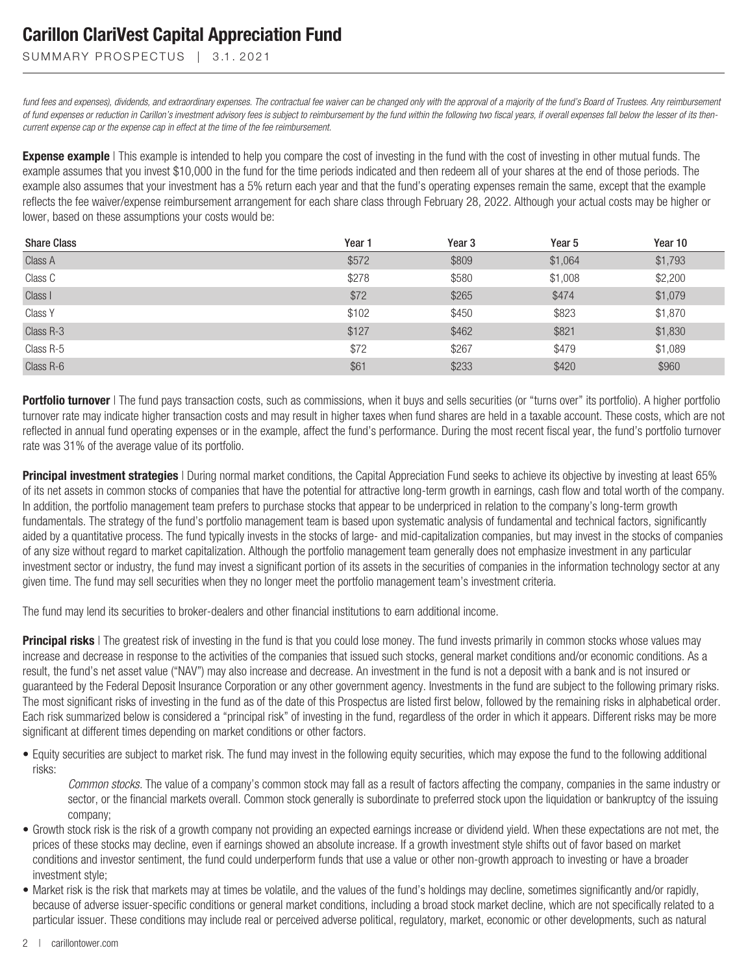#### SUMMARY PROSPECTUS | 3.1.2021

*fund fees and expenses), dividends, and extraordinary expenses. The contractual fee waiver can be changed only with the approval of a majority of the fund's Board of Trustees. Any reimbursement* of fund expenses or reduction in Carillon's investment advisory fees is subject to reimbursement by the fund within the following two fiscal years, if overall expenses fall below the lesser of its then*current expense cap or the expense cap in effect at the time of the fee reimbursement.*

**Expense example** | This example is intended to help you compare the cost of investing in the fund with the cost of investing in other mutual funds. The example assumes that you invest \$10,000 in the fund for the time periods indicated and then redeem all of your shares at the end of those periods. The example also assumes that your investment has a 5% return each year and that the fund's operating expenses remain the same, except that the example reflects the fee waiver/expense reimbursement arrangement for each share class through February 28, 2022. Although your actual costs may be higher or lower, based on these assumptions your costs would be:

| <b>Share Class</b> | Year 1 | Year <sub>3</sub> | Year <sub>5</sub> | Year 10 |
|--------------------|--------|-------------------|-------------------|---------|
| Class A            | \$572  | \$809             | \$1,064           | \$1,793 |
| Class C            | \$278  | \$580             | \$1,008           | \$2,200 |
| Class I            | \$72   | \$265             | \$474             | \$1,079 |
| Class Y            | \$102  | \$450             | \$823             | \$1,870 |
| Class R-3          | \$127  | \$462             | \$821             | \$1,830 |
| Class R-5          | \$72   | \$267             | \$479             | \$1,089 |
| Class R-6          | \$61   | \$233             | \$420             | \$960   |

**Portfolio turnover** | The fund pays transaction costs, such as commissions, when it buys and sells securities (or "turns over" its portfolio). A higher portfolio turnover rate may indicate higher transaction costs and may result in higher taxes when fund shares are held in a taxable account. These costs, which are not reflected in annual fund operating expenses or in the example, affect the fund's performance. During the most recent fiscal year, the fund's portfolio turnover rate was 31% of the average value of its portfolio.

**Principal investment strategies** | During normal market conditions, the Capital Appreciation Fund seeks to achieve its objective by investing at least 65% of its net assets in common stocks of companies that have the potential for attractive long-term growth in earnings, cash flow and total worth of the company. In addition, the portfolio management team prefers to purchase stocks that appear to be underpriced in relation to the company's long-term growth fundamentals. The strategy of the fund's portfolio management team is based upon systematic analysis of fundamental and technical factors, significantly aided by a quantitative process. The fund typically invests in the stocks of large- and mid-capitalization companies, but may invest in the stocks of companies of any size without regard to market capitalization. Although the portfolio management team generally does not emphasize investment in any particular investment sector or industry, the fund may invest a significant portion of its assets in the securities of companies in the information technology sector at any given time. The fund may sell securities when they no longer meet the portfolio management team's investment criteria.

The fund may lend its securities to broker-dealers and other financial institutions to earn additional income.

**Principal risks** | The greatest risk of investing in the fund is that you could lose money. The fund invests primarily in common stocks whose values may increase and decrease in response to the activities of the companies that issued such stocks, general market conditions and/or economic conditions. As a result, the fund's net asset value ("NAV") may also increase and decrease. An investment in the fund is not a deposit with a bank and is not insured or guaranteed by the Federal Deposit Insurance Corporation or any other government agency. Investments in the fund are subject to the following primary risks. The most significant risks of investing in the fund as of the date of this Prospectus are listed first below, followed by the remaining risks in alphabetical order. Each risk summarized below is considered a "principal risk" of investing in the fund, regardless of the order in which it appears. Different risks may be more significant at different times depending on market conditions or other factors.

• Equity securities are subject to market risk. The fund may invest in the following equity securities, which may expose the fund to the following additional risks:

*Common stocks.* The value of a company's common stock may fall as a result of factors affecting the company, companies in the same industry or sector, or the financial markets overall. Common stock generally is subordinate to preferred stock upon the liquidation or bankruptcy of the issuing company;

- Growth stock risk is the risk of a growth company not providing an expected earnings increase or dividend yield. When these expectations are not met, the prices of these stocks may decline, even if earnings showed an absolute increase. If a growth investment style shifts out of favor based on market conditions and investor sentiment, the fund could underperform funds that use a value or other non-growth approach to investing or have a broader investment style;
- Market risk is the risk that markets may at times be volatile, and the values of the fund's holdings may decline, sometimes significantly and/or rapidly, because of adverse issuer-specific conditions or general market conditions, including a broad stock market decline, which are not specifically related to a particular issuer. These conditions may include real or perceived adverse political, regulatory, market, economic or other developments, such as natural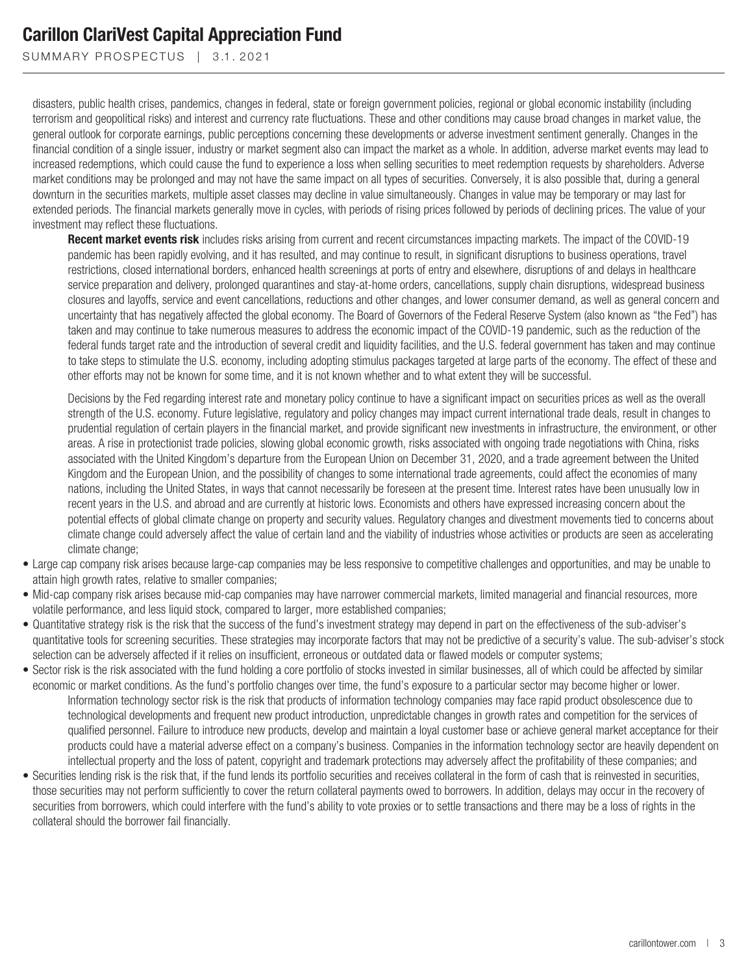SUMMARY PROSPECTUS | 3.1.2021

disasters, public health crises, pandemics, changes in federal, state or foreign government policies, regional or global economic instability (including terrorism and geopolitical risks) and interest and currency rate fluctuations. These and other conditions may cause broad changes in market value, the general outlook for corporate earnings, public perceptions concerning these developments or adverse investment sentiment generally. Changes in the financial condition of a single issuer, industry or market segment also can impact the market as a whole. In addition, adverse market events may lead to increased redemptions, which could cause the fund to experience a loss when selling securities to meet redemption requests by shareholders. Adverse market conditions may be prolonged and may not have the same impact on all types of securities. Conversely, it is also possible that, during a general downturn in the securities markets, multiple asset classes may decline in value simultaneously. Changes in value may be temporary or may last for extended periods. The financial markets generally move in cycles, with periods of rising prices followed by periods of declining prices. The value of your investment may reflect these fluctuations.

**Recent market events risk** includes risks arising from current and recent circumstances impacting markets. The impact of the COVID-19 pandemic has been rapidly evolving, and it has resulted, and may continue to result, in significant disruptions to business operations, travel restrictions, closed international borders, enhanced health screenings at ports of entry and elsewhere, disruptions of and delays in healthcare service preparation and delivery, prolonged quarantines and stay-at-home orders, cancellations, supply chain disruptions, widespread business closures and layoffs, service and event cancellations, reductions and other changes, and lower consumer demand, as well as general concern and uncertainty that has negatively affected the global economy. The Board of Governors of the Federal Reserve System (also known as "the Fed") has taken and may continue to take numerous measures to address the economic impact of the COVID-19 pandemic, such as the reduction of the federal funds target rate and the introduction of several credit and liquidity facilities, and the U.S. federal government has taken and may continue to take steps to stimulate the U.S. economy, including adopting stimulus packages targeted at large parts of the economy. The effect of these and other efforts may not be known for some time, and it is not known whether and to what extent they will be successful.

Decisions by the Fed regarding interest rate and monetary policy continue to have a significant impact on securities prices as well as the overall strength of the U.S. economy. Future legislative, regulatory and policy changes may impact current international trade deals, result in changes to prudential regulation of certain players in the financial market, and provide significant new investments in infrastructure, the environment, or other areas. A rise in protectionist trade policies, slowing global economic growth, risks associated with ongoing trade negotiations with China, risks associated with the United Kingdom's departure from the European Union on December 31, 2020, and a trade agreement between the United Kingdom and the European Union, and the possibility of changes to some international trade agreements, could affect the economies of many nations, including the United States, in ways that cannot necessarily be foreseen at the present time. Interest rates have been unusually low in recent years in the U.S. and abroad and are currently at historic lows. Economists and others have expressed increasing concern about the potential effects of global climate change on property and security values. Regulatory changes and divestment movements tied to concerns about climate change could adversely affect the value of certain land and the viability of industries whose activities or products are seen as accelerating climate change;

- Large cap company risk arises because large-cap companies may be less responsive to competitive challenges and opportunities, and may be unable to attain high growth rates, relative to smaller companies;
- Mid-cap company risk arises because mid-cap companies may have narrower commercial markets, limited managerial and financial resources, more volatile performance, and less liquid stock, compared to larger, more established companies;
- Quantitative strategy risk is the risk that the success of the fund's investment strategy may depend in part on the effectiveness of the sub-adviser's quantitative tools for screening securities. These strategies may incorporate factors that may not be predictive of a security's value. The sub-adviser's stock selection can be adversely affected if it relies on insufficient, erroneous or outdated data or flawed models or computer systems;
- Sector risk is the risk associated with the fund holding a core portfolio of stocks invested in similar businesses, all of which could be affected by similar economic or market conditions. As the fund's portfolio changes over time, the fund's exposure to a particular sector may become higher or lower. Information technology sector risk is the risk that products of information technology companies may face rapid product obsolescence due to technological developments and frequent new product introduction, unpredictable changes in growth rates and competition for the services of qualified personnel. Failure to introduce new products, develop and maintain a loyal customer base or achieve general market acceptance for their products could have a material adverse effect on a company's business. Companies in the information technology sector are heavily dependent on intellectual property and the loss of patent, copyright and trademark protections may adversely affect the profitability of these companies; and
- Securities lending risk is the risk that, if the fund lends its portfolio securities and receives collateral in the form of cash that is reinvested in securities, those securities may not perform sufficiently to cover the return collateral payments owed to borrowers. In addition, delays may occur in the recovery of securities from borrowers, which could interfere with the fund's ability to vote proxies or to settle transactions and there may be a loss of rights in the collateral should the borrower fail financially.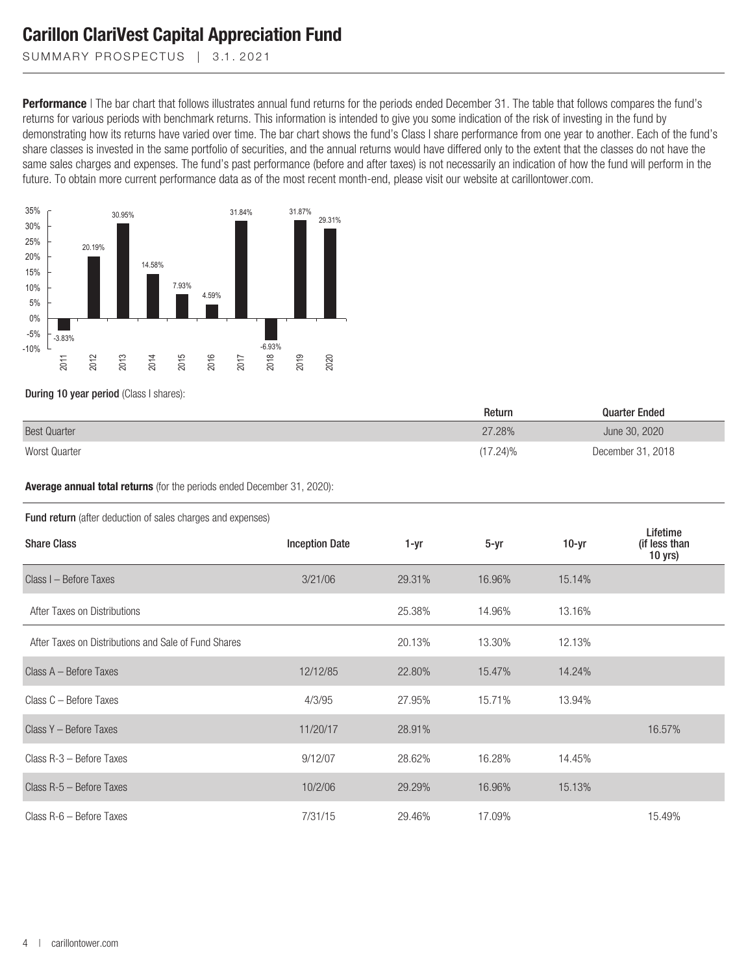SUMMARY PROSPECTUS | 3.1.2021

**Performance** | The bar chart that follows illustrates annual fund returns for the periods ended December 31. The table that follows compares the fund's returns for various periods with benchmark returns. This information is intended to give you some indication of the risk of investing in the fund by demonstrating how its returns have varied over time. The bar chart shows the fund's Class I share performance from one year to another. Each of the fund's share classes is invested in the same portfolio of securities, and the annual returns would have differed only to the extent that the classes do not have the same sales charges and expenses. The fund's past performance (before and after taxes) is not necessarily an indication of how the fund will perform in the future. To obtain more current performance data as of the most recent month-end, please visit our website at carillontower.com.



During 10 year period (Class I shares):

|                     | Return      | <b>Quarter Ended</b> |
|---------------------|-------------|----------------------|
| <b>Best Quarter</b> | 27.28%      | June 30, 2020        |
| Worst Quarter       | $(17.24)\%$ | December 31, 2018    |

**Average annual total returns** (for the periods ended December 31, 2020):

#### Fund return (after deduction of sales charges and expenses)

| <b>Share Class</b>                                   | <b>Inception Date</b> | 1-yr   | $5 - yr$ | $10-yr$ | Lifetime<br>(if less than<br>$10$ yrs) |
|------------------------------------------------------|-----------------------|--------|----------|---------|----------------------------------------|
| Class I - Before Taxes                               | 3/21/06               | 29.31% | 16.96%   | 15.14%  |                                        |
| After Taxes on Distributions                         |                       | 25.38% | 14.96%   | 13.16%  |                                        |
| After Taxes on Distributions and Sale of Fund Shares |                       | 20.13% | 13.30%   | 12.13%  |                                        |
| Class A - Before Taxes                               | 12/12/85              | 22.80% | 15.47%   | 14.24%  |                                        |
| Class C - Before Taxes                               | 4/3/95                | 27.95% | 15.71%   | 13.94%  |                                        |
| Class Y - Before Taxes                               | 11/20/17              | 28.91% |          |         | 16.57%                                 |
| Class R-3 - Before Taxes                             | 9/12/07               | 28.62% | 16.28%   | 14.45%  |                                        |
| Class R-5 - Before Taxes                             | 10/2/06               | 29.29% | 16.96%   | 15.13%  |                                        |
| Class R-6 - Before Taxes                             | 7/31/15               | 29.46% | 17.09%   |         | 15.49%                                 |